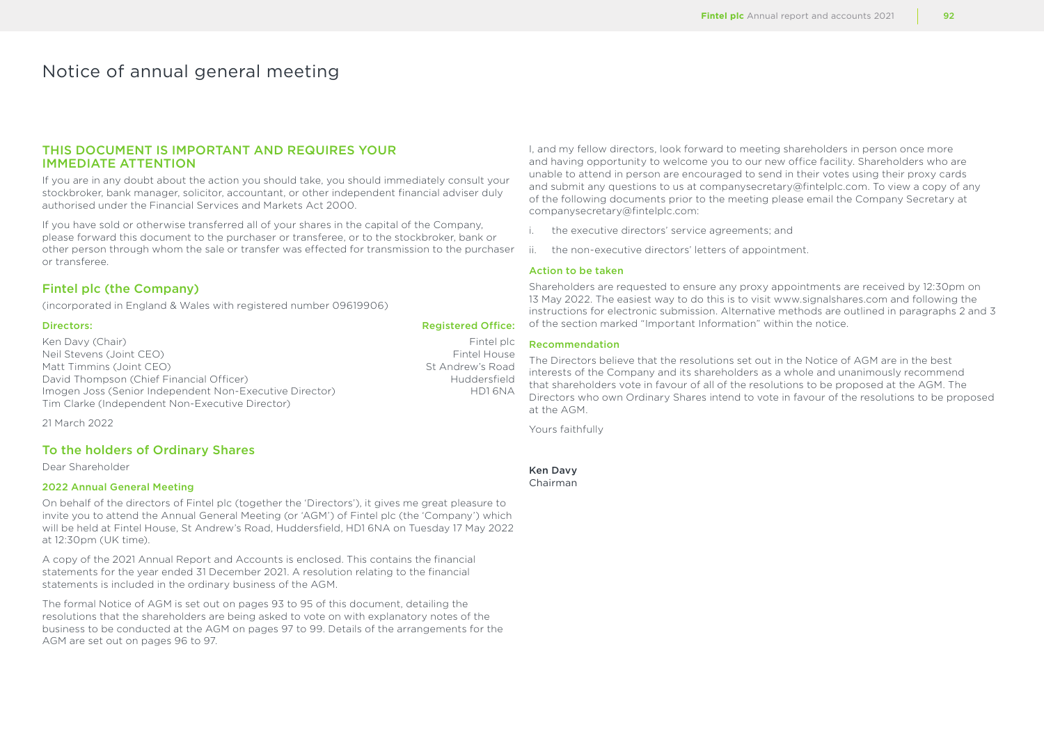# Notice of annual general meeting

# THIS DOCUMENT IS IMPORTANT AND REQUIRES YOUR IMMEDIATE ATTENTION

If you are in any doubt about the action you should take, you should immediately consult your stockbroker, bank manager, solicitor, accountant, or other independent financial adviser duly authorised under the Financial Services and Markets Act 2000.

If you have sold or otherwise transferred all of your shares in the capital of the Company, please forward this document to the purchaser or transferee, or to the stockbroker, bank or other person through whom the sale or transfer was effected for transmission to the purchaser or transferee.

# Fintel plc (the Company)

(incorporated in England & Wales with registered number 09619906)

### Directors: Registered Office:

Ken Davy (Chair) Fintel plc (Shair) Fintel plc (Shair) Fintel plc (Shair) Fintel plc (Shair) Fintel House (Shair<br>
Reil Stevens (Joint CEO) Fintel House Neil Stevens (Joint CEO) Fintel House<br>
Matt Timmins (Joint CEO) Fintel House<br>
St Andrew's Road Matt Timmins (Joint CEO) David Thompson (Chief Financial Officer) The Chief Huddersfield Huddersfield Imogen Joss (Senior Independent Non-Executive Director) HD1 6NA Tim Clarke (Independent Non-Executive Director)

21 March 2022

# To the holders of Ordinary Shares

Dear Shareholder

### 2022 Annual General Meeting

On behalf of the directors of Fintel plc (together the 'Directors'), it gives me great pleasure to invite you to attend the Annual General Meeting (or 'AGM') of Fintel plc (the 'Company') which will be held at Fintel House, St Andrew's Road, Huddersfield, HD1 6NA on Tuesday 17 May 2022 at 12:30pm (UK time).

A copy of the 2021 Annual Report and Accounts is enclosed. This contains the financial statements for the year ended 31 December 2021. A resolution relating to the financial statements is included in the ordinary business of the AGM.

The formal Notice of AGM is set out on pages 93 to 95 of this document, detailing the resolutions that the shareholders are being asked to vote on with explanatory notes of the business to be conducted at the AGM on pages 97 to 99. Details of the arrangements for the AGM are set out on pages 96 to 97.

I, and my fellow directors, look forward to meeting shareholders in person once more and having opportunity to welcome you to our new office facility. Shareholders who are unable to attend in person are encouraged to send in their votes using their proxy cards and submit any questions to us at companysecretary@fintelplc.com. To view a copy of any of the following documents prior to the meeting please email the Company Secretary at companysecretary@fintelplc.com:

- i. the executive directors' service agreements; and
- ii. the non-executive directors' letters of appointment.

### Action to be taken

Shareholders are requested to ensure any proxy appointments are received by 12:30pm on 13 May 2022. The easiest way to do this is to visit www.signalshares.com and following the instructions for electronic submission. Alternative methods are outlined in paragraphs 2 and 3 of the section marked "Important Information" within the notice.

## Recommendation

The Directors believe that the resolutions set out in the Notice of AGM are in the best interests of the Company and its shareholders as a whole and unanimously recommend that shareholders vote in favour of all of the resolutions to be proposed at the AGM. The Directors who own Ordinary Shares intend to vote in favour of the resolutions to be proposed at the AGM.

Yours faithfully

Ken Davy Chairman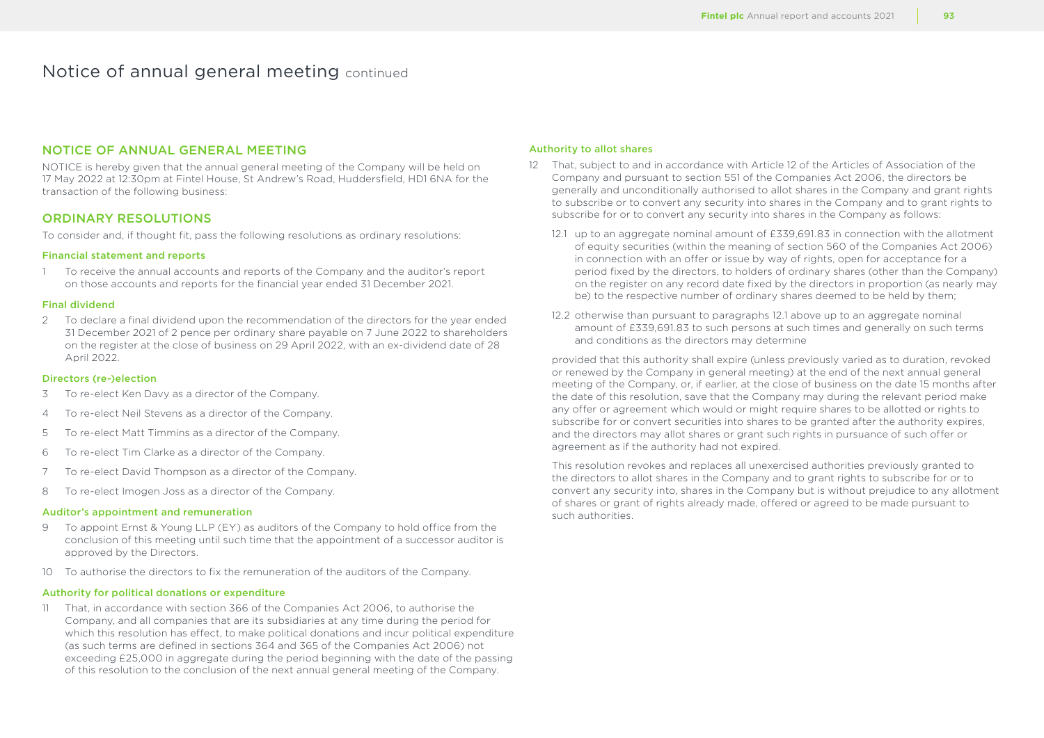# NOTICE OF ANNUAL GENERAL MEETING

NOTICE is hereby given that the annual general meeting of the Company will be held on 17 May 2022 at 12:30pm at Fintel House, St Andrew's Road, Huddersfield, HD1 6NA for the transaction of the following business:

# ORDINARY RESOLUTIONS

To consider and, if thought fit, pass the following resolutions as ordinary resolutions:

#### Financial statement and reports

1 To receive the annual accounts and reports of the Company and the auditor's report on those accounts and reports for the financial year ended 31 December 2021.

## Final dividend

2 To declare a final dividend upon the recommendation of the directors for the year ended 31 December 2021 of 2 pence per ordinary share payable on 7 June 2022 to shareholders on the register at the close of business on 29 April 2022, with an ex-dividend date of 28 April 2022.

#### Directors (re-)election

- 3 To re-elect Ken Davy as a director of the Company.
- 4 To re-elect Neil Stevens as a director of the Company.
- 5 To re-elect Matt Timmins as a director of the Company.
- 6 To re-elect Tim Clarke as a director of the Company.
- 7 To re-elect David Thompson as a director of the Company.
- 8 To re-elect Imogen Joss as a director of the Company.

### Auditor's appointment and remuneration

- 9 To appoint Ernst & Young LLP (EY) as auditors of the Company to hold office from the conclusion of this meeting until such time that the appointment of a successor auditor is approved by the Directors.
- 10 To authorise the directors to fix the remuneration of the auditors of the Company.

#### Authority for political donations or expenditure

11 That, in accordance with section 366 of the Companies Act 2006, to authorise the Company, and all companies that are its subsidiaries at any time during the period for which this resolution has effect, to make political donations and incur political expenditure (as such terms are defined in sections 364 and 365 of the Companies Act 2006) not exceeding £25,000 in aggregate during the period beginning with the date of the passing of this resolution to the conclusion of the next annual general meeting of the Company.

#### Authority to allot shares

- 12 That, subject to and in accordance with Article 12 of the Articles of Association of the Company and pursuant to section 551 of the Companies Act 2006, the directors be generally and unconditionally authorised to allot shares in the Company and grant rights to subscribe or to convert any security into shares in the Company and to grant rights to subscribe for or to convert any security into shares in the Company as follows:
	- 12.1 up to an aggregate nominal amount of £339,691.83 in connection with the allotment of equity securities (within the meaning of section 560 of the Companies Act 2006) in connection with an offer or issue by way of rights, open for acceptance for a period fixed by the directors, to holders of ordinary shares (other than the Company) on the register on any record date fixed by the directors in proportion (as nearly may be) to the respective number of ordinary shares deemed to be held by them;
	- 12.2 otherwise than pursuant to paragraphs 12.1 above up to an aggregate nominal amount of £339,691.83 to such persons at such times and generally on such terms and conditions as the directors may determine

provided that this authority shall expire (unless previously varied as to duration, revoked or renewed by the Company in general meeting) at the end of the next annual general meeting of the Company, or, if earlier, at the close of business on the date 15 months after the date of this resolution, save that the Company may during the relevant period make any offer or agreement which would or might require shares to be allotted or rights to subscribe for or convert securities into shares to be granted after the authority expires, and the directors may allot shares or grant such rights in pursuance of such offer or agreement as if the authority had not expired.

This resolution revokes and replaces all unexercised authorities previously granted to the directors to allot shares in the Company and to grant rights to subscribe for or to convert any security into, shares in the Company but is without prejudice to any allotment of shares or grant of rights already made, offered or agreed to be made pursuant to such authorities.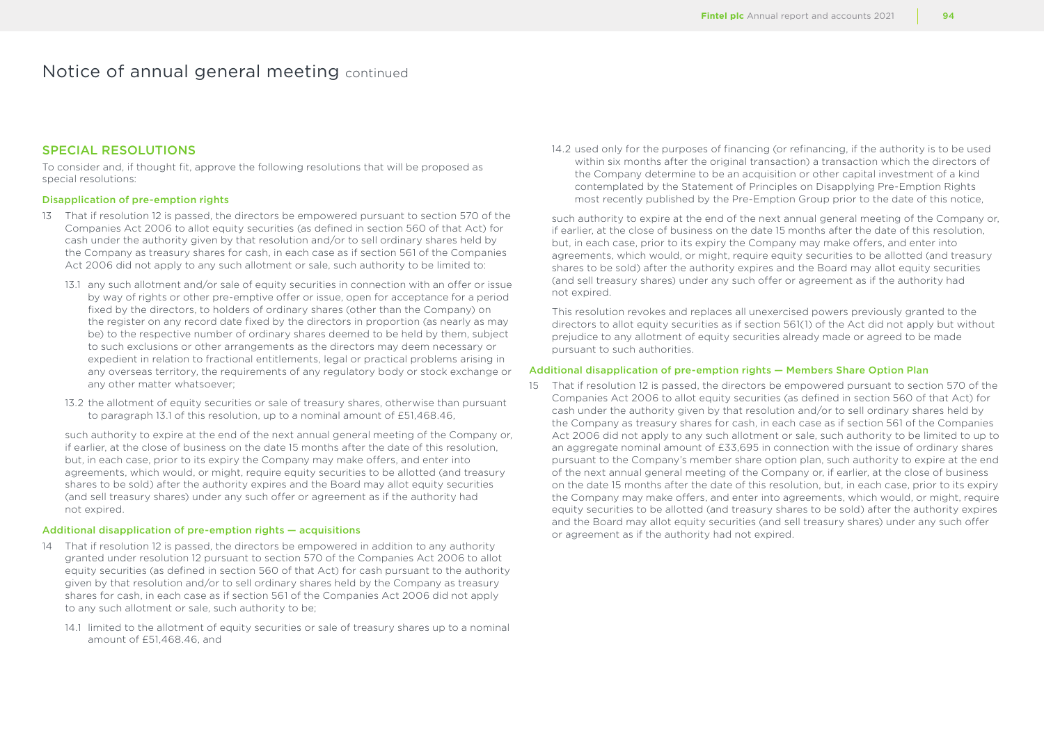# SPECIAL RESOLUTIONS

To consider and, if thought fit, approve the following resolutions that will be proposed as special resolutions:

## Disapplication of pre-emption rights

- 13 That if resolution 12 is passed, the directors be empowered pursuant to section 570 of the Companies Act 2006 to allot equity securities (as defined in section 560 of that Act) for cash under the authority given by that resolution and/or to sell ordinary shares held by the Company as treasury shares for cash, in each case as if section 561 of the Companies Act 2006 did not apply to any such allotment or sale, such authority to be limited to:
	- 13.1 any such allotment and/or sale of equity securities in connection with an offer or issue by way of rights or other pre-emptive offer or issue, open for acceptance for a period fixed by the directors, to holders of ordinary shares (other than the Company) on the register on any record date fixed by the directors in proportion (as nearly as may be) to the respective number of ordinary shares deemed to be held by them, subject to such exclusions or other arrangements as the directors may deem necessary or expedient in relation to fractional entitlements, legal or practical problems arising in any overseas territory, the requirements of any regulatory body or stock exchange or any other matter whatsoever;
	- 13.2 the allotment of equity securities or sale of treasury shares, otherwise than pursuant to paragraph 13.1 of this resolution, up to a nominal amount of £51,468.46

such authority to expire at the end of the next annual general meeting of the Company or, if earlier, at the close of business on the date 15 months after the date of this resolution, but, in each case, prior to its expiry the Company may make offers, and enter into agreements, which would, or might, require equity securities to be allotted (and treasury shares to be sold) after the authority expires and the Board may allot equity securities (and sell treasury shares) under any such offer or agreement as if the authority had not expired.

### Additional disapplication of pre-emption rights — acquisitions

- 14 That if resolution 12 is passed, the directors be empowered in addition to any authority granted under resolution 12 pursuant to section 570 of the Companies Act 2006 to allot equity securities (as defined in section 560 of that Act) for cash pursuant to the authority given by that resolution and/or to sell ordinary shares held by the Company as treasury shares for cash, in each case as if section 561 of the Companies Act 2006 did not apply to any such allotment or sale, such authority to be;
	- 14.1 limited to the allotment of equity securities or sale of treasury shares up to a nominal amount of £51,468.46, and

14.2 used only for the purposes of financing (or refinancing, if the authority is to be used within six months after the original transaction) a transaction which the directors of the Company determine to be an acquisition or other capital investment of a kind contemplated by the Statement of Principles on Disapplying Pre-Emption Rights most recently published by the Pre-Emption Group prior to the date of this notice,

such authority to expire at the end of the next annual general meeting of the Company or, if earlier, at the close of business on the date 15 months after the date of this resolution, but, in each case, prior to its expiry the Company may make offers, and enter into agreements, which would, or might, require equity securities to be allotted (and treasury shares to be sold) after the authority expires and the Board may allot equity securities (and sell treasury shares) under any such offer or agreement as if the authority had not expired.

This resolution revokes and replaces all unexercised powers previously granted to the directors to allot equity securities as if section 561(1) of the Act did not apply but without prejudice to any allotment of equity securities already made or agreed to be made pursuant to such authorities.

#### Additional disapplication of pre-emption rights — Members Share Option Plan

15 That if resolution 12 is passed, the directors be empowered pursuant to section 570 of the Companies Act 2006 to allot equity securities (as defined in section 560 of that Act) for cash under the authority given by that resolution and/or to sell ordinary shares held by the Company as treasury shares for cash, in each case as if section 561 of the Companies Act 2006 did not apply to any such allotment or sale, such authority to be limited to up to an aggregate nominal amount of £33,695 in connection with the issue of ordinary shares pursuant to the Company's member share option plan, such authority to expire at the end of the next annual general meeting of the Company or, if earlier, at the close of business on the date 15 months after the date of this resolution, but, in each case, prior to its expiry the Company may make offers, and enter into agreements, which would, or might, require equity securities to be allotted (and treasury shares to be sold) after the authority expires and the Board may allot equity securities (and sell treasury shares) under any such offer or agreement as if the authority had not expired.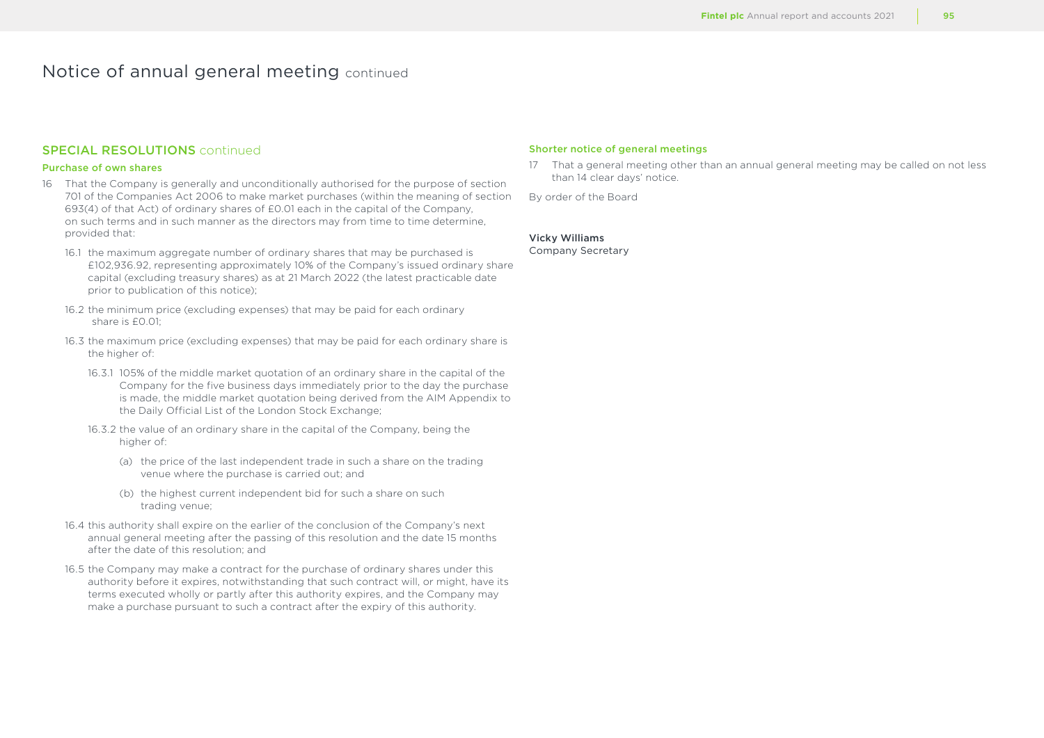# SPECIAL RESOLUTIONS continued

## Purchase of own shares

- 16 That the Company is generally and unconditionally authorised for the purpose of section 701 of the Companies Act 2006 to make market purchases (within the meaning of section 693(4) of that Act) of ordinary shares of £0.01 each in the capital of the Company, on such terms and in such manner as the directors may from time to time determine, provided that:
	- 16.1 the maximum aggregate number of ordinary shares that may be purchased is £102,936.92, representing approximately 10% of the Company's issued ordinary share capital (excluding treasury shares) as at 21 March 2022 (the latest practicable date prior to publication of this notice);
	- 16.2 the minimum price (excluding expenses) that may be paid for each ordinary share is £0.01;
	- 16.3 the maximum price (excluding expenses) that may be paid for each ordinary share is the higher of:
		- 16.3.1 105% of the middle market quotation of an ordinary share in the capital of the Company for the five business days immediately prior to the day the purchase is made, the middle market quotation being derived from the AIM Appendix to the Daily Official List of the London Stock Exchange;
		- 16.3.2 the value of an ordinary share in the capital of the Company, being the higher of:
			- (a) the price of the last independent trade in such a share on the trading venue where the purchase is carried out; and
			- (b) the highest current independent bid for such a share on such trading venue;
	- 16.4 this authority shall expire on the earlier of the conclusion of the Company's next annual general meeting after the passing of this resolution and the date 15 months after the date of this resolution; and
	- 16.5 the Company may make a contract for the purchase of ordinary shares under this authority before it expires, notwithstanding that such contract will, or might, have its terms executed wholly or partly after this authority expires, and the Company may make a purchase pursuant to such a contract after the expiry of this authority.

## Shorter notice of general meetings

17 That a general meeting other than an annual general meeting may be called on not less than 14 clear days' notice.

By order of the Board

## Vicky Williams

Company Secretary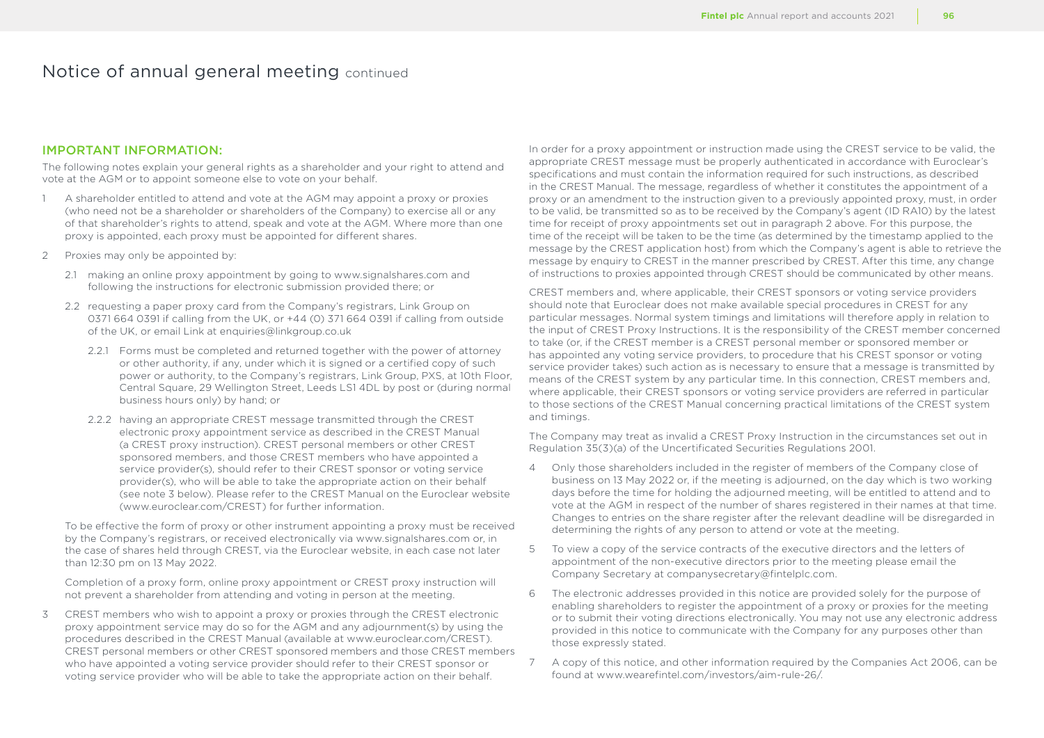# IMPORTANT INFORMATION:

The following notes explain your general rights as a shareholder and your right to attend and vote at the AGM or to appoint someone else to vote on your behalf.

- 1 A shareholder entitled to attend and vote at the AGM may appoint a proxy or proxies (who need not be a shareholder or shareholders of the Company) to exercise all or any of that shareholder's rights to attend, speak and vote at the AGM. Where more than one proxy is appointed, each proxy must be appointed for different shares.
- 2 Proxies may only be appointed by:
	- 2.1 making an online proxy appointment by going to www.signalshares.com and following the instructions for electronic submission provided there; or
	- 2.2 requesting a paper proxy card from the Company's registrars, Link Group on 0371 664 0391 if calling from the UK, or +44 (0) 371 664 0391 if calling from outside of the UK, or email Link at enquiries@linkgroup.co.uk
		- 2.2.1 Forms must be completed and returned together with the power of attorney or other authority, if any, under which it is signed or a certified copy of such power or authority, to the Company's registrars, Link Group, PXS, at 10th Floor, Central Square, 29 Wellington Street, Leeds LS1 4DL by post or (during normal business hours only) by hand; or
		- 2.2.2 having an appropriate CREST message transmitted through the CREST electronic proxy appointment service as described in the CREST Manual (a CREST proxy instruction). CREST personal members or other CREST sponsored members, and those CREST members who have appointed a service provider(s), should refer to their CREST sponsor or voting service provider(s), who will be able to take the appropriate action on their behalf (see note 3 below). Please refer to the CREST Manual on the Euroclear website (www.euroclear.com/CREST) for further information.

To be effective the form of proxy or other instrument appointing a proxy must be received by the Company's registrars, or received electronically via www.signalshares.com or, in the case of shares held through CREST, via the Euroclear website, in each case not later than 12:30 pm on 13 May 2022.

Completion of a proxy form, online proxy appointment or CREST proxy instruction will not prevent a shareholder from attending and voting in person at the meeting.

3 CREST members who wish to appoint a proxy or proxies through the CREST electronic proxy appointment service may do so for the AGM and any adjournment(s) by using the procedures described in the CREST Manual (available at www.euroclear.com/CREST). CREST personal members or other CREST sponsored members and those CREST members who have appointed a voting service provider should refer to their CREST sponsor or voting service provider who will be able to take the appropriate action on their behalf.

In order for a proxy appointment or instruction made using the CREST service to be valid, the appropriate CREST message must be properly authenticated in accordance with Euroclear's specifications and must contain the information required for such instructions, as described in the CREST Manual. The message, regardless of whether it constitutes the appointment of a proxy or an amendment to the instruction given to a previously appointed proxy, must, in order to be valid, be transmitted so as to be received by the Company's agent (ID RA10) by the latest time for receipt of proxy appointments set out in paragraph 2 above. For this purpose, the time of the receipt will be taken to be the time (as determined by the timestamp applied to the message by the CREST application host) from which the Company's agent is able to retrieve the message by enquiry to CREST in the manner prescribed by CREST. After this time, any change of instructions to proxies appointed through CREST should be communicated by other means.

CREST members and, where applicable, their CREST sponsors or voting service providers should note that Euroclear does not make available special procedures in CREST for any particular messages. Normal system timings and limitations will therefore apply in relation to the input of CREST Proxy Instructions. It is the responsibility of the CREST member concerned to take (or, if the CREST member is a CREST personal member or sponsored member or has appointed any voting service providers, to procedure that his CREST sponsor or voting service provider takes) such action as is necessary to ensure that a message is transmitted by means of the CREST system by any particular time. In this connection, CREST members and, where applicable, their CREST sponsors or voting service providers are referred in particular to those sections of the CREST Manual concerning practical limitations of the CREST system and timings.

The Company may treat as invalid a CREST Proxy Instruction in the circumstances set out in Regulation 35(3)(a) of the Uncertificated Securities Regulations 2001.

- 4 Only those shareholders included in the register of members of the Company close of business on 13 May 2022 or, if the meeting is adjourned, on the day which is two working days before the time for holding the adjourned meeting, will be entitled to attend and to vote at the AGM in respect of the number of shares registered in their names at that time. Changes to entries on the share register after the relevant deadline will be disregarded in determining the rights of any person to attend or vote at the meeting.
- 5 To view a copy of the service contracts of the executive directors and the letters of appointment of the non-executive directors prior to the meeting please email the Company Secretary at companysecretary@fintelplc.com.
- 6 The electronic addresses provided in this notice are provided solely for the purpose of enabling shareholders to register the appointment of a proxy or proxies for the meeting or to submit their voting directions electronically. You may not use any electronic address provided in this notice to communicate with the Company for any purposes other than those expressly stated.
- 7 A copy of this notice, and other information required by the Companies Act 2006, can be found at www.wearefintel.com/investors/aim-rule-26/.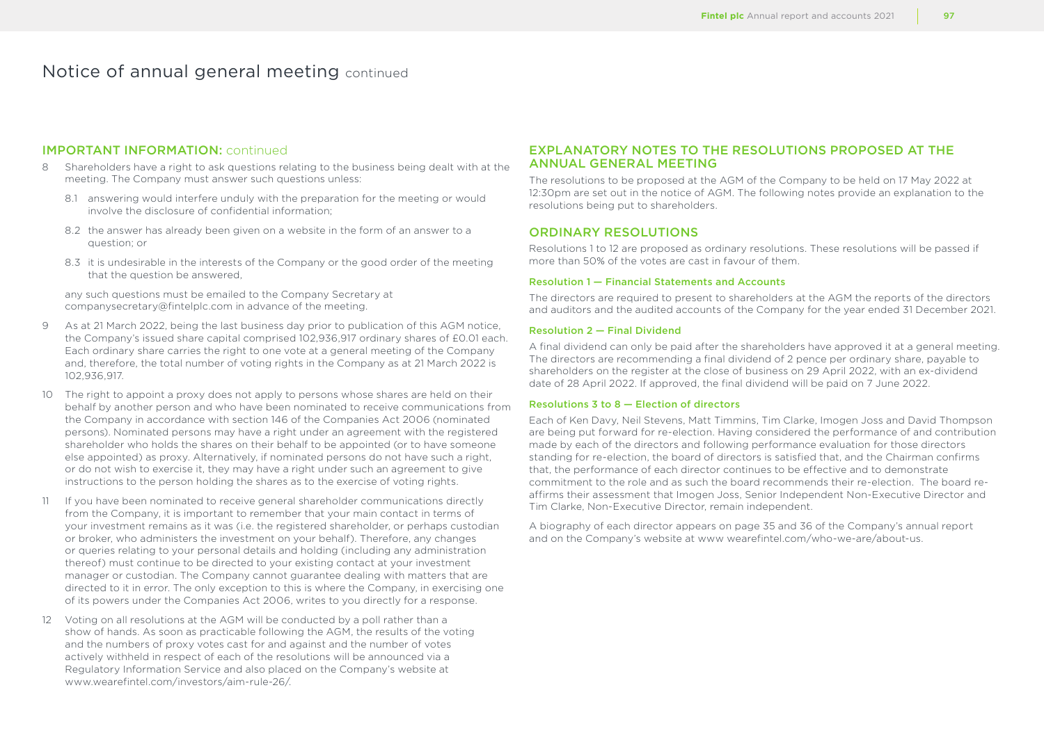# IMPORTANT INFORMATION: continued

- 8 Shareholders have a right to ask questions relating to the business being dealt with at the meeting. The Company must answer such questions unless:
	- 8.1 answering would interfere unduly with the preparation for the meeting or would involve the disclosure of confidential information;
	- 8.2 the answer has already been given on a website in the form of an answer to a question; or
	- 8.3 it is undesirable in the interests of the Company or the good order of the meeting that the question be answered,

any such questions must be emailed to the Company Secretary at companysecretary@fintelplc.com in advance of the meeting.

- 9 As at 21 March 2022, being the last business day prior to publication of this AGM notice, the Company's issued share capital comprised 102,936,917 ordinary shares of £0.01 each. Each ordinary share carries the right to one vote at a general meeting of the Company and, therefore, the total number of voting rights in the Company as at 21 March 2022 is 102,936,917.
- 10 The right to appoint a proxy does not apply to persons whose shares are held on their behalf by another person and who have been nominated to receive communications from the Company in accordance with section 146 of the Companies Act 2006 (nominated persons). Nominated persons may have a right under an agreement with the registered shareholder who holds the shares on their behalf to be appointed (or to have someone else appointed) as proxy. Alternatively, if nominated persons do not have such a right, or do not wish to exercise it, they may have a right under such an agreement to give instructions to the person holding the shares as to the exercise of voting rights.
- 11 If you have been nominated to receive general shareholder communications directly from the Company, it is important to remember that your main contact in terms of your investment remains as it was (i.e. the registered shareholder, or perhaps custodian or broker, who administers the investment on your behalf). Therefore, any changes or queries relating to your personal details and holding (including any administration thereof) must continue to be directed to your existing contact at your investment manager or custodian. The Company cannot guarantee dealing with matters that are directed to it in error. The only exception to this is where the Company, in exercising one of its powers under the Companies Act 2006, writes to you directly for a response.
- 12 Voting on all resolutions at the AGM will be conducted by a poll rather than a show of hands. As soon as practicable following the AGM, the results of the voting and the numbers of proxy votes cast for and against and the number of votes actively withheld in respect of each of the resolutions will be announced via a Regulatory Information Service and also placed on the Company's website at www.wearefintel.com/investors/aim-rule-26/

# EXPLANATORY NOTES TO THE RESOLUTIONS PROPOSED AT THE ANNUAL GENERAL MEETING

The resolutions to be proposed at the AGM of the Company to be held on 17 May 2022 at 12:30pm are set out in the notice of AGM. The following notes provide an explanation to the resolutions being put to shareholders.

# ORDINARY RESOLUTIONS

Resolutions 1 to 12 are proposed as ordinary resolutions. These resolutions will be passed if more than 50% of the votes are cast in favour of them.

### Resolution 1 — Financial Statements and Accounts

The directors are required to present to shareholders at the AGM the reports of the directors and auditors and the audited accounts of the Company for the year ended 31 December 2021.

### Resolution 2 — Final Dividend

A final dividend can only be paid after the shareholders have approved it at a general meeting. The directors are recommending a final dividend of 2 pence per ordinary share, payable to shareholders on the register at the close of business on 29 April 2022, with an ex-dividend date of 28 April 2022. If approved, the final dividend will be paid on 7 June 2022.

### Resolutions 3 to 8 — Election of directors

Each of Ken Davy, Neil Stevens, Matt Timmins, Tim Clarke, Imogen Joss and David Thompson are being put forward for re-election. Having considered the performance of and contribution made by each of the directors and following performance evaluation for those directors standing for re-election, the board of directors is satisfied that, and the Chairman confirms that, the performance of each director continues to be effective and to demonstrate commitment to the role and as such the board recommends their re-election. The board reaffirms their assessment that Imogen Joss, Senior Independent Non-Executive Director and Tim Clarke, Non-Executive Director, remain independent.

A biography of each director appears on page 35 and 36 of the Company's annual report and on the Company's website at www wearefintel.com/who-we-are/about-us.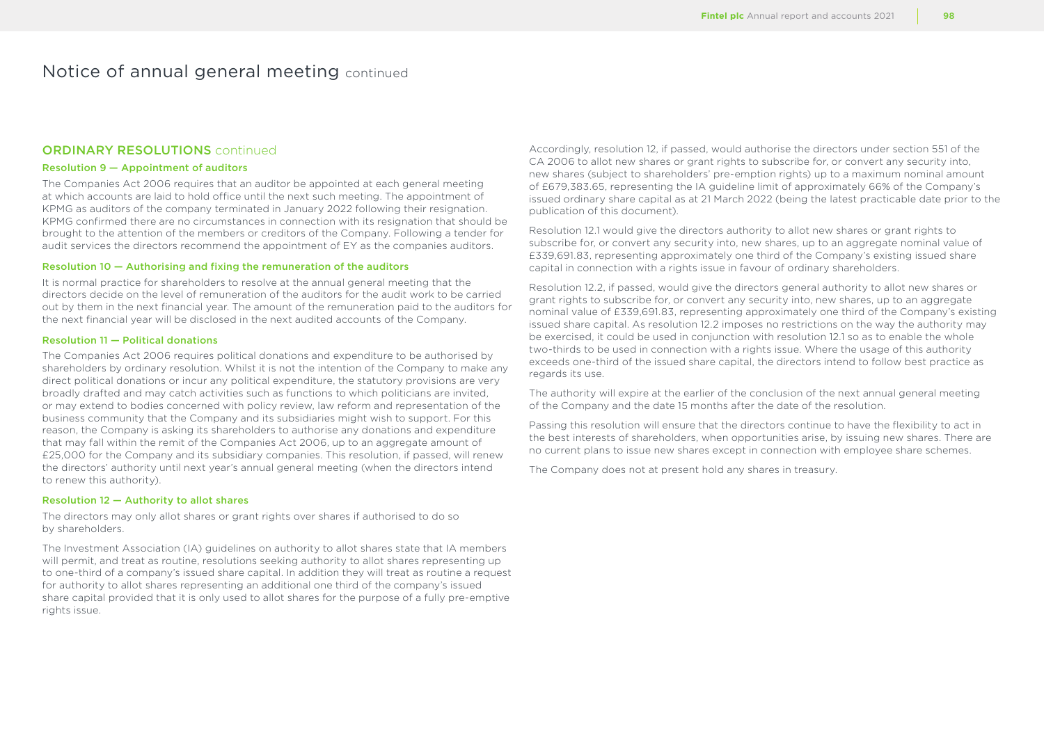# ORDINARY RESOLUTIONS continued

## Resolution 9 — Appointment of auditors

The Companies Act 2006 requires that an auditor be appointed at each general meeting at which accounts are laid to hold office until the next such meeting. The appointment of KPMG as auditors of the company terminated in January 2022 following their resignation. KPMG confirmed there are no circumstances in connection with its resignation that should be brought to the attention of the members or creditors of the Company. Following a tender for audit services the directors recommend the appointment of EY as the companies auditors.

### Resolution 10 — Authorising and fixing the remuneration of the auditors

It is normal practice for shareholders to resolve at the annual general meeting that the directors decide on the level of remuneration of the auditors for the audit work to be carried out by them in the next financial year. The amount of the remuneration paid to the auditors for the next financial year will be disclosed in the next audited accounts of the Company.

### Resolution 11 — Political donations

The Companies Act 2006 requires political donations and expenditure to be authorised by shareholders by ordinary resolution. Whilst it is not the intention of the Company to make any direct political donations or incur any political expenditure, the statutory provisions are very broadly drafted and may catch activities such as functions to which politicians are invited, or may extend to bodies concerned with policy review, law reform and representation of the business community that the Company and its subsidiaries might wish to support. For this reason, the Company is asking its shareholders to authorise any donations and expenditure that may fall within the remit of the Companies Act 2006, up to an aggregate amount of £25,000 for the Company and its subsidiary companies. This resolution, if passed, will renew the directors' authority until next year's annual general meeting (when the directors intend to renew this authority).

#### Resolution 12 — Authority to allot shares

The directors may only allot shares or grant rights over shares if authorised to do so by shareholders.

The Investment Association (IA) guidelines on authority to allot shares state that IA members will permit, and treat as routine, resolutions seeking authority to allot shares representing up to one-third of a company's issued share capital. In addition they will treat as routine a request for authority to allot shares representing an additional one third of the company's issued share capital provided that it is only used to allot shares for the purpose of a fully pre-emptive rights issue.

Accordingly, resolution 12, if passed, would authorise the directors under section 551 of the CA 2006 to allot new shares or grant rights to subscribe for, or convert any security into, new shares (subject to shareholders' pre-emption rights) up to a maximum nominal amount of £679,383.65, representing the IA guideline limit of approximately 66% of the Company's issued ordinary share capital as at 21 March 2022 (being the latest practicable date prior to the publication of this document).

Resolution 12.1 would give the directors authority to allot new shares or grant rights to subscribe for, or convert any security into, new shares, up to an aggregate nominal value of £339,691.83, representing approximately one third of the Company's existing issued share capital in connection with a rights issue in favour of ordinary shareholders.

Resolution 12.2, if passed, would give the directors general authority to allot new shares or grant rights to subscribe for, or convert any security into, new shares, up to an aggregate nominal value of £339,691.83, representing approximately one third of the Company's existing issued share capital. As resolution 12.2 imposes no restrictions on the way the authority may be exercised, it could be used in conjunction with resolution 12.1 so as to enable the whole two-thirds to be used in connection with a rights issue. Where the usage of this authority exceeds one-third of the issued share capital, the directors intend to follow best practice as regards its use.

The authority will expire at the earlier of the conclusion of the next annual general meeting of the Company and the date 15 months after the date of the resolution.

Passing this resolution will ensure that the directors continue to have the flexibility to act in the best interests of shareholders, when opportunities arise, by issuing new shares. There are no current plans to issue new shares except in connection with employee share schemes.

The Company does not at present hold any shares in treasury.